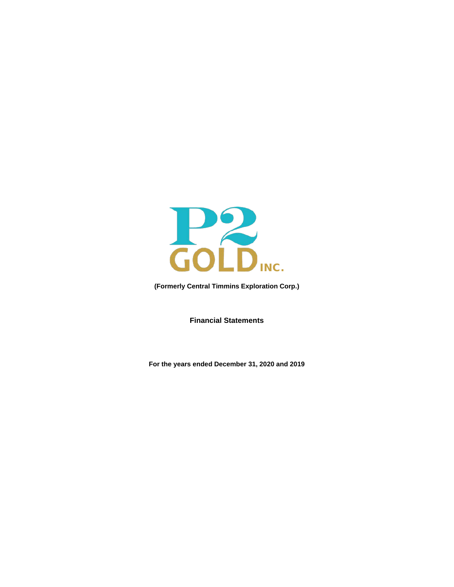

**(Formerly Central Timmins Exploration Corp.)**

**Financial Statements**

**For the years ended December 31, 2020 and 2019**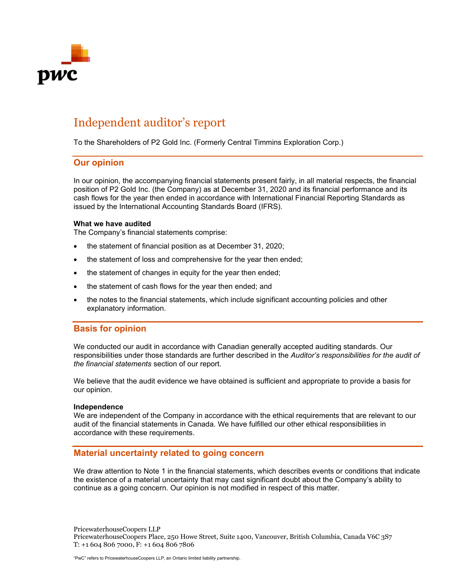

# Independent auditor's report

To the Shareholders of P2 Gold Inc. (Formerly Central Timmins Exploration Corp.)

# **Our opinion**

In our opinion, the accompanying financial statements present fairly, in all material respects, the financial position of P2 Gold Inc. (the Company) as at December 31, 2020 and its financial performance and its cash flows for the year then ended in accordance with International Financial Reporting Standards as issued by the International Accounting Standards Board (IFRS).

# **What we have audited**

The Company's financial statements comprise:

- the statement of financial position as at December 31, 2020;
- the statement of loss and comprehensive for the year then ended;
- the statement of changes in equity for the year then ended;
- the statement of cash flows for the year then ended; and
- the notes to the financial statements, which include significant accounting policies and other explanatory information.

# **Basis for opinion**

We conducted our audit in accordance with Canadian generally accepted auditing standards. Our responsibilities under those standards are further described in the *Auditor's responsibilities for the audit of the financial statements* section of our report.

We believe that the audit evidence we have obtained is sufficient and appropriate to provide a basis for our opinion.

# **Independence**

We are independent of the Company in accordance with the ethical requirements that are relevant to our audit of the financial statements in Canada. We have fulfilled our other ethical responsibilities in accordance with these requirements.

# **Material uncertainty related to going concern**

We draw attention to Note 1 in the financial statements, which describes events or conditions that indicate the existence of a material uncertainty that may cast significant doubt about the Company's ability to continue as a going concern. Our opinion is not modified in respect of this matter.

PricewaterhouseCoopers LLP PricewaterhouseCoopers Place, 250 Howe Street, Suite 1400, Vancouver, British Columbia, Canada V6C 3S7 T: +1 604 806 7000, F: +1 604 806 7806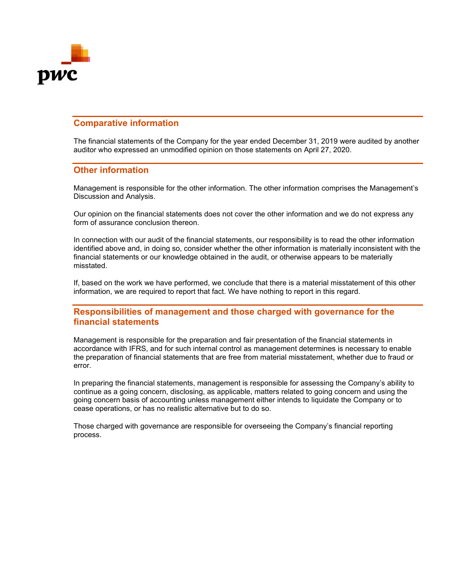

# **Comparative information**

The financial statements of the Company for the year ended December 31, 2019 were audited by another auditor who expressed an unmodified opinion on those statements on April 27, 2020.

# **Other information**

Management is responsible for the other information. The other information comprises the Management's Discussion and Analysis.

Our opinion on the financial statements does not cover the other information and we do not express any form of assurance conclusion thereon.

In connection with our audit of the financial statements, our responsibility is to read the other information identified above and, in doing so, consider whether the other information is materially inconsistent with the financial statements or our knowledge obtained in the audit, or otherwise appears to be materially misstated.

If, based on the work we have performed, we conclude that there is a material misstatement of this other information, we are required to report that fact. We have nothing to report in this regard.

# **Responsibilities of management and those charged with governance for the financial statements**

Management is responsible for the preparation and fair presentation of the financial statements in accordance with IFRS, and for such internal control as management determines is necessary to enable the preparation of financial statements that are free from material misstatement, whether due to fraud or error.

In preparing the financial statements, management is responsible for assessing the Company's ability to continue as a going concern, disclosing, as applicable, matters related to going concern and using the going concern basis of accounting unless management either intends to liquidate the Company or to cease operations, or has no realistic alternative but to do so.

Those charged with governance are responsible for overseeing the Company's financial reporting process.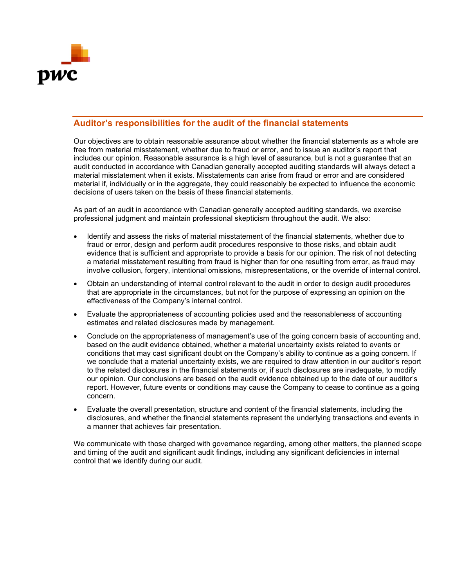

# **Auditor's responsibilities for the audit of the financial statements**

Our objectives are to obtain reasonable assurance about whether the financial statements as a whole are free from material misstatement, whether due to fraud or error, and to issue an auditor's report that includes our opinion. Reasonable assurance is a high level of assurance, but is not a guarantee that an audit conducted in accordance with Canadian generally accepted auditing standards will always detect a material misstatement when it exists. Misstatements can arise from fraud or error and are considered material if, individually or in the aggregate, they could reasonably be expected to influence the economic decisions of users taken on the basis of these financial statements.

As part of an audit in accordance with Canadian generally accepted auditing standards, we exercise professional judgment and maintain professional skepticism throughout the audit. We also:

- Identify and assess the risks of material misstatement of the financial statements, whether due to fraud or error, design and perform audit procedures responsive to those risks, and obtain audit evidence that is sufficient and appropriate to provide a basis for our opinion. The risk of not detecting a material misstatement resulting from fraud is higher than for one resulting from error, as fraud may involve collusion, forgery, intentional omissions, misrepresentations, or the override of internal control.
- Obtain an understanding of internal control relevant to the audit in order to design audit procedures that are appropriate in the circumstances, but not for the purpose of expressing an opinion on the effectiveness of the Company's internal control.
- Evaluate the appropriateness of accounting policies used and the reasonableness of accounting estimates and related disclosures made by management.
- Conclude on the appropriateness of management's use of the going concern basis of accounting and, based on the audit evidence obtained, whether a material uncertainty exists related to events or conditions that may cast significant doubt on the Company's ability to continue as a going concern. If we conclude that a material uncertainty exists, we are required to draw attention in our auditor's report to the related disclosures in the financial statements or, if such disclosures are inadequate, to modify our opinion. Our conclusions are based on the audit evidence obtained up to the date of our auditor's report. However, future events or conditions may cause the Company to cease to continue as a going concern.
- Evaluate the overall presentation, structure and content of the financial statements, including the disclosures, and whether the financial statements represent the underlying transactions and events in a manner that achieves fair presentation.

We communicate with those charged with governance regarding, among other matters, the planned scope and timing of the audit and significant audit findings, including any significant deficiencies in internal control that we identify during our audit.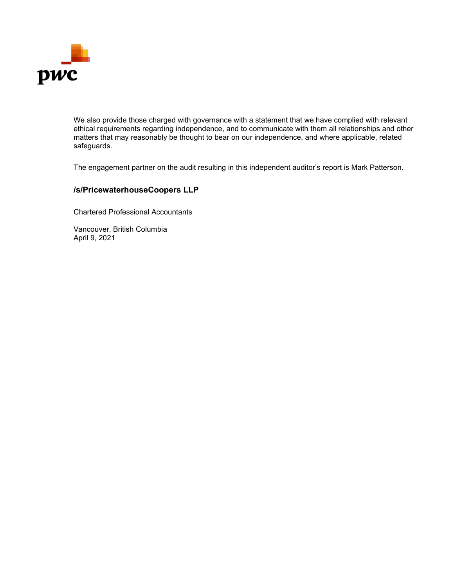

We also provide those charged with governance with a statement that we have complied with relevant ethical requirements regarding independence, and to communicate with them all relationships and other matters that may reasonably be thought to bear on our independence, and where applicable, related safeguards.

The engagement partner on the audit resulting in this independent auditor's report is Mark Patterson.

# **/s/PricewaterhouseCoopers LLP**

Chartered Professional Accountants

Vancouver, British Columbia April 9, 2021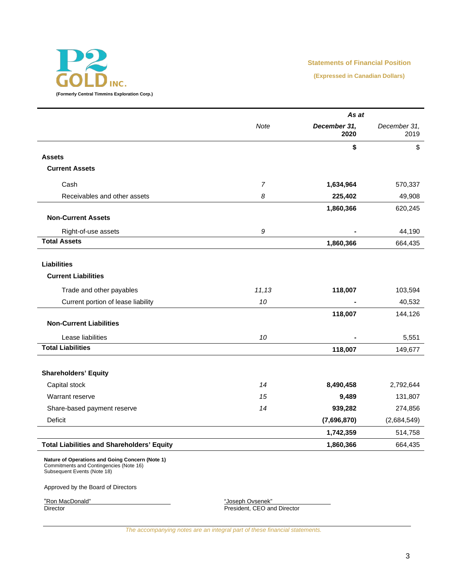

## **Statements of Financial Position**

**(Expressed in Canadian Dollars)**

|                                                                                            |                | As at                |                      |  |
|--------------------------------------------------------------------------------------------|----------------|----------------------|----------------------|--|
|                                                                                            | Note           | December 31,<br>2020 | December 31,<br>2019 |  |
|                                                                                            |                | \$                   | \$                   |  |
| <b>Assets</b>                                                                              |                |                      |                      |  |
| <b>Current Assets</b>                                                                      |                |                      |                      |  |
| Cash                                                                                       | $\overline{7}$ | 1,634,964            | 570,337              |  |
| Receivables and other assets                                                               | 8              | 225,402              | 49,908               |  |
|                                                                                            |                | 1,860,366            | 620,245              |  |
| <b>Non-Current Assets</b>                                                                  |                |                      |                      |  |
| Right-of-use assets                                                                        | 9              |                      | 44,190               |  |
| <b>Total Assets</b>                                                                        |                | 1,860,366            | 664,435              |  |
|                                                                                            |                |                      |                      |  |
| <b>Liabilities</b>                                                                         |                |                      |                      |  |
| <b>Current Liabilities</b>                                                                 |                |                      |                      |  |
| Trade and other payables                                                                   | 11,13          | 118,007              | 103,594              |  |
| Current portion of lease liability                                                         | 10             |                      | 40,532               |  |
|                                                                                            |                | 118,007              | 144,126              |  |
| <b>Non-Current Liabilities</b>                                                             |                |                      |                      |  |
| Lease liabilities                                                                          | 10             |                      | 5,551                |  |
| <b>Total Liabilities</b>                                                                   |                | 118,007              | 149,677              |  |
|                                                                                            |                |                      |                      |  |
| <b>Shareholders' Equity</b>                                                                |                |                      |                      |  |
| Capital stock                                                                              | 14             | 8,490,458            | 2,792,644            |  |
| Warrant reserve                                                                            | 15             | 9,489                | 131,807              |  |
| Share-based payment reserve                                                                | 14             | 939,282              | 274,856              |  |
| Deficit                                                                                    |                | (7,696,870)          | (2,684,549)          |  |
|                                                                                            |                | 1,742,359            | 514,758              |  |
| <b>Total Liabilities and Shareholders' Equity</b>                                          |                | 1,860,366            | 664,435              |  |
| Nature of Operations and Going Concern (Note 1)<br>Commitments and Contingencies (Note 16) |                |                      |                      |  |

Subsequent Events (Note 18)

Approved by the Board of Directors

"Ron MacDonald" "Joseph Ovsenek" Director President, CEO and Director

*The accompanying notes are an integral part of these financial statements.*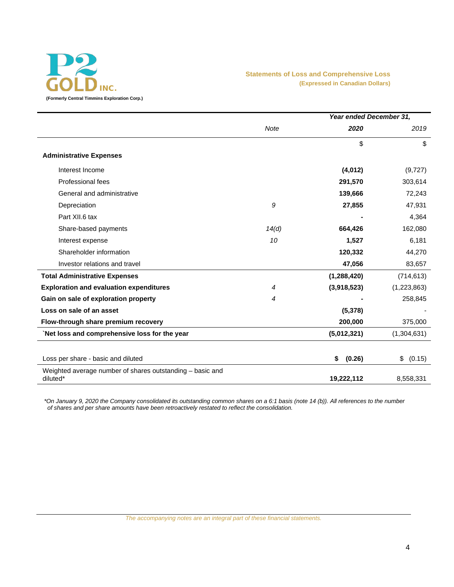

# **Statements of Loss and Comprehensive Loss (Expressed in Canadian Dollars)**

 *Year ended December 31,*

*Note 2020 2019*

|                                                                       |       | \$           | \$            |
|-----------------------------------------------------------------------|-------|--------------|---------------|
| <b>Administrative Expenses</b>                                        |       |              |               |
| Interest Income                                                       |       | (4,012)      | (9,727)       |
| Professional fees                                                     |       | 291,570      | 303,614       |
| General and administrative                                            |       | 139,666      | 72,243        |
| Depreciation                                                          | 9     | 27,855       | 47,931        |
| Part XII.6 tax                                                        |       |              | 4,364         |
| Share-based payments                                                  | 14(d) | 664,426      | 162,080       |
| Interest expense                                                      | 10    | 1,527        | 6,181         |
| Shareholder information                                               |       | 120,332      | 44,270        |
| Investor relations and travel                                         |       | 47,056       | 83,657        |
| <b>Total Administrative Expenses</b>                                  |       | (1,288,420)  | (714, 613)    |
| <b>Exploration and evaluation expenditures</b>                        | 4     | (3,918,523)  | (1, 223, 863) |
| Gain on sale of exploration property                                  | 4     |              | 258,845       |
| Loss on sale of an asset                                              |       | (5,378)      |               |
| Flow-through share premium recovery                                   |       | 200,000      | 375,000       |
| Net loss and comprehensive loss for the year                          |       | (5,012,321)  | (1,304,631)   |
|                                                                       |       |              |               |
| Loss per share - basic and diluted                                    |       | (0.26)<br>\$ | (0.15)<br>\$  |
| Weighted average number of shares outstanding – basic and<br>diluted* |       | 19,222,112   | 8,558,331     |

*\*On January 9, 2020 the Company consolidated its outstanding common shares on a 6:1 basis (note 14 (b)). All references to the number of shares and per share amounts have been retroactively restated to reflect the consolidation.*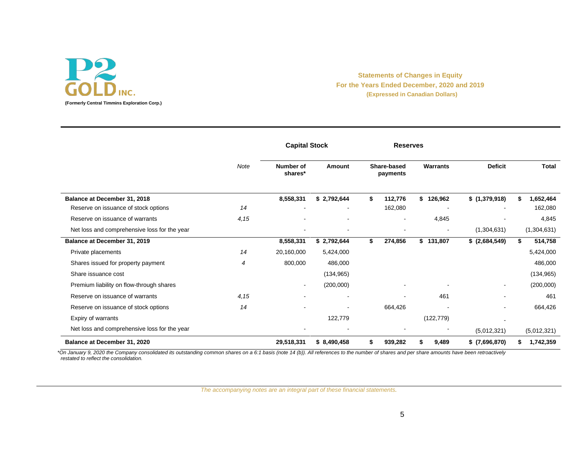

# **Statements of Changes in Equity For the Years Ended December, 2020 and 2019 (Expressed in Canadian Dollars)**

|                                                                      |      | <b>Capital Stock</b> |             | <b>Reserves</b>          |            |                   |                      |
|----------------------------------------------------------------------|------|----------------------|-------------|--------------------------|------------|-------------------|----------------------|
|                                                                      | Note | Number of<br>shares* | Amount      | Share-based<br>payments  | Warrants   | <b>Deficit</b>    | Total                |
| Balance at December 31, 2018<br>Reserve on issuance of stock options | 14   | 8,558,331            | \$2,792,644 | \$<br>112,776<br>162,080 | \$126,962  | \$(1,379,918)     | 1,652,464<br>162,080 |
| Reserve on issuance of warrants                                      | 4.15 |                      |             |                          | 4,845      |                   | 4,845                |
| Net loss and comprehensive loss for the year                         |      |                      |             |                          |            | (1,304,631)       | (1,304,631)          |
| Balance at December 31, 2019                                         |      | 8,558,331            | \$2,792,644 | \$<br>274.856            | \$131,807  | $$$ (2,684,549)   | 514,758              |
| Private placements                                                   | 14   | 20,160,000           | 5,424,000   |                          |            |                   | 5,424,000            |
| Shares issued for property payment                                   | 4    | 800,000              | 486,000     |                          |            |                   | 486,000              |
| Share issuance cost                                                  |      |                      | (134, 965)  |                          |            |                   | (134, 965)           |
| Premium liability on flow-through shares                             |      | $\blacksquare$       | (200,000)   |                          |            |                   | (200,000)            |
| Reserve on issuance of warrants                                      | 4.15 |                      | ٠           |                          | 461        |                   | 461                  |
| Reserve on issuance of stock options                                 | 14   |                      |             | 664,426                  |            |                   | 664,426              |
| Expiry of warrants                                                   |      |                      | 122,779     |                          | (122, 779) |                   |                      |
| Net loss and comprehensive loss for the year                         |      |                      |             |                          |            | (5,012,321)       | (5,012,321)          |
| Balance at December 31, 2020                                         |      | 29,518,331           | \$8,490,458 | \$<br>939,282            | 9,489      | $$$ $(7,696,870)$ | 1,742,359            |

*\*On January 9, 2020 the Company consolidated its outstanding common shares on a 6:1 basis (note 14 (b)). All references to the number of shares and per share amounts have been retroactively restated to reflect the consolidation.*

*The accompanying notes are an integral part of these financial statements.*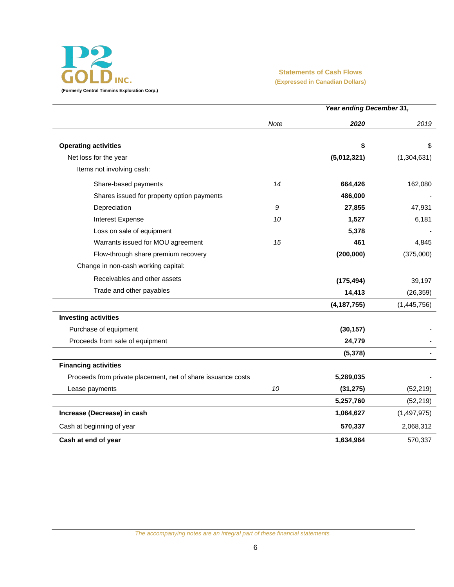

# **Statements of Cash Flows (Expressed in Canadian Dollars)**

|                                                              |      | Year ending December 31, |               |
|--------------------------------------------------------------|------|--------------------------|---------------|
|                                                              | Note | 2020                     | 2019          |
| <b>Operating activities</b>                                  |      | \$                       | \$            |
| Net loss for the year                                        |      | (5,012,321)              | (1,304,631)   |
| Items not involving cash:                                    |      |                          |               |
| Share-based payments                                         | 14   | 664,426                  | 162,080       |
| Shares issued for property option payments                   |      | 486,000                  |               |
| Depreciation                                                 | 9    | 27,855                   | 47,931        |
| <b>Interest Expense</b>                                      | 10   | 1,527                    | 6,181         |
| Loss on sale of equipment                                    |      | 5,378                    |               |
| Warrants issued for MOU agreement                            | 15   | 461                      | 4,845         |
| Flow-through share premium recovery                          |      | (200,000)                | (375,000)     |
| Change in non-cash working capital:                          |      |                          |               |
| Receivables and other assets                                 |      | (175, 494)               | 39,197        |
| Trade and other payables                                     |      | 14,413                   | (26, 359)     |
|                                                              |      | (4, 187, 755)            | (1,445,756)   |
| <b>Investing activities</b>                                  |      |                          |               |
| Purchase of equipment                                        |      | (30, 157)                |               |
| Proceeds from sale of equipment                              |      | 24,779                   |               |
|                                                              |      | (5, 378)                 |               |
| <b>Financing activities</b>                                  |      |                          |               |
| Proceeds from private placement, net of share issuance costs |      | 5,289,035                |               |
| Lease payments                                               | 10   | (31, 275)                | (52, 219)     |
|                                                              |      | 5,257,760                | (52, 219)     |
| Increase (Decrease) in cash                                  |      | 1,064,627                | (1, 497, 975) |
| Cash at beginning of year                                    |      | 570,337                  | 2,068,312     |
| Cash at end of year                                          |      | 1,634,964                | 570,337       |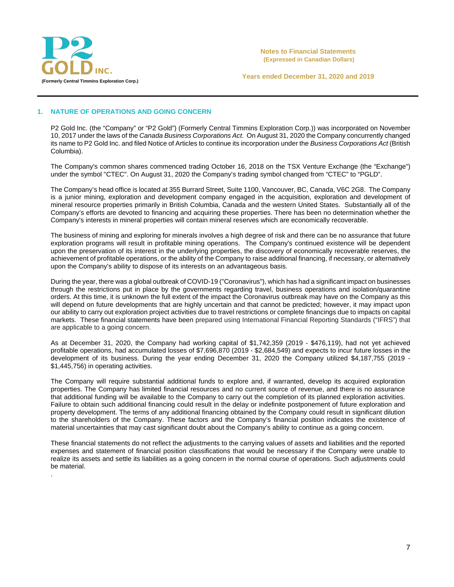

**Years ended December 31, 2020 and 2019**

# **1. NATURE OF OPERATIONS AND GOING CONCERN**

P2 Gold Inc. (the "Company" or "P2 Gold") (Formerly Central Timmins Exploration Corp.)) was incorporated on November 10, 2017 under the laws of the *Canada Business Corporations Act*. On August 31, 2020 the Company concurrently changed its name to P2 Gold Inc. and filed Notice of Articles to continue its incorporation under the *Business Corporations Act* (British Columbia).

The Company's common shares commenced trading October 16, 2018 on the TSX Venture Exchange (the "Exchange") under the symbol "CTEC". On August 31, 2020 the Company's trading symbol changed from "CTEC" to "PGLD".

The Company's head office is located at 355 Burrard Street, Suite 1100, Vancouver, BC, Canada, V6C 2G8. The Company is a junior mining, exploration and development company engaged in the acquisition, exploration and development of mineral resource properties primarily in British Columbia, Canada and the western United States. Substantially all of the Company's efforts are devoted to financing and acquiring these properties. There has been no determination whether the Company's interests in mineral properties will contain mineral reserves which are economically recoverable.

The business of mining and exploring for minerals involves a high degree of risk and there can be no assurance that future exploration programs will result in profitable mining operations. The Company's continued existence will be dependent upon the preservation of its interest in the underlying properties, the discovery of economically recoverable reserves, the achievement of profitable operations, or the ability of the Company to raise additional financing, if necessary, or alternatively upon the Company's ability to dispose of its interests on an advantageous basis.

During the year, there was a global outbreak of COVID-19 ("Coronavirus"), which has had a significant impact on businesses through the restrictions put in place by the governments regarding travel, business operations and isolation/quarantine orders. At this time, it is unknown the full extent of the impact the Coronavirus outbreak may have on the Company as this will depend on future developments that are highly uncertain and that cannot be predicted; however, it may impact upon our ability to carry out exploration project activities due to travel restrictions or complete financings due to impacts on capital markets. These financial statements have been prepared using International Financial Reporting Standards ("IFRS") that are applicable to a going concern.

As at December 31, 2020, the Company had working capital of \$1,742,359 (2019 - \$476,119), had not yet achieved profitable operations, had accumulated losses of \$7,696,870 (2019 - \$2,684,549) and expects to incur future losses in the development of its business. During the year ending December 31, 2020 the Company utilized \$4,187,755 (2019 - \$1,445,756) in operating activities.

The Company will require substantial additional funds to explore and, if warranted, develop its acquired exploration properties. The Company has limited financial resources and no current source of revenue, and there is no assurance that additional funding will be available to the Company to carry out the completion of its planned exploration activities. Failure to obtain such additional financing could result in the delay or indefinite postponement of future exploration and property development. The terms of any additional financing obtained by the Company could result in significant dilution to the shareholders of the Company. These factors and the Company's financial position indicates the existence of material uncertainties that may cast significant doubt about the Company's ability to continue as a going concern.

These financial statements do not reflect the adjustments to the carrying values of assets and liabilities and the reported expenses and statement of financial position classifications that would be necessary if the Company were unable to realize its assets and settle its liabilities as a going concern in the normal course of operations. Such adjustments could be material.

.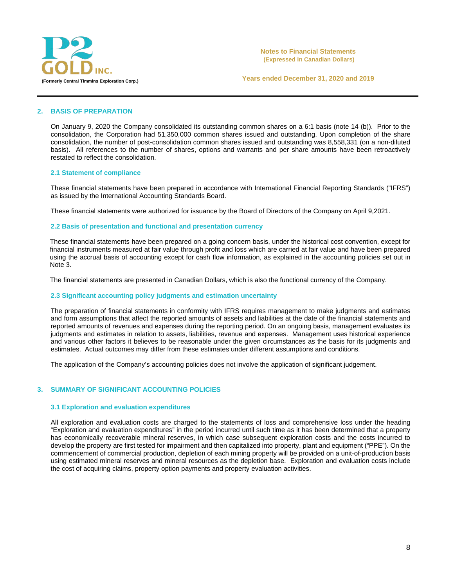

**Years ended December 31, 2020 and 2019**

# **2. BASIS OF PREPARATION**

On January 9, 2020 the Company consolidated its outstanding common shares on a 6:1 basis (note 14 (b)). Prior to the consolidation, the Corporation had 51,350,000 common shares issued and outstanding. Upon completion of the share consolidation, the number of post-consolidation common shares issued and outstanding was 8,558,331 (on a non-diluted basis). All references to the number of shares, options and warrants and per share amounts have been retroactively restated to reflect the consolidation.

# **2.1 Statement of compliance**

These financial statements have been prepared in accordance with International Financial Reporting Standards ("IFRS") as issued by the International Accounting Standards Board.

These financial statements were authorized for issuance by the Board of Directors of the Company on April 9,2021.

# **2.2 Basis of presentation and functional and presentation currency**

These financial statements have been prepared on a going concern basis, under the historical cost convention, except for financial instruments measured at fair value through profit and loss which are carried at fair value and have been prepared using the accrual basis of accounting except for cash flow information, as explained in the accounting policies set out in Note 3.

The financial statements are presented in Canadian Dollars, which is also the functional currency of the Company.

# **2.3 Significant accounting policy judgments and estimation uncertainty**

The preparation of financial statements in conformity with IFRS requires management to make judgments and estimates and form assumptions that affect the reported amounts of assets and liabilities at the date of the financial statements and reported amounts of revenues and expenses during the reporting period. On an ongoing basis, management evaluates its judgments and estimates in relation to assets, liabilities, revenue and expenses. Management uses historical experience and various other factors it believes to be reasonable under the given circumstances as the basis for its judgments and estimates. Actual outcomes may differ from these estimates under different assumptions and conditions.

The application of the Company's accounting policies does not involve the application of significant judgement.

# **3. SUMMARY OF SIGNIFICANT ACCOUNTING POLICIES**

# **3.1 Exploration and evaluation expenditures**

All exploration and evaluation costs are charged to the statements of loss and comprehensive loss under the heading "Exploration and evaluation expenditures" in the period incurred until such time as it has been determined that a property has economically recoverable mineral reserves, in which case subsequent exploration costs and the costs incurred to develop the property are first tested for impairment and then capitalized into property, plant and equipment ("PPE"). On the commencement of commercial production, depletion of each mining property will be provided on a unit-of-production basis using estimated mineral reserves and mineral resources as the depletion base. Exploration and evaluation costs include the cost of acquiring claims, property option payments and property evaluation activities.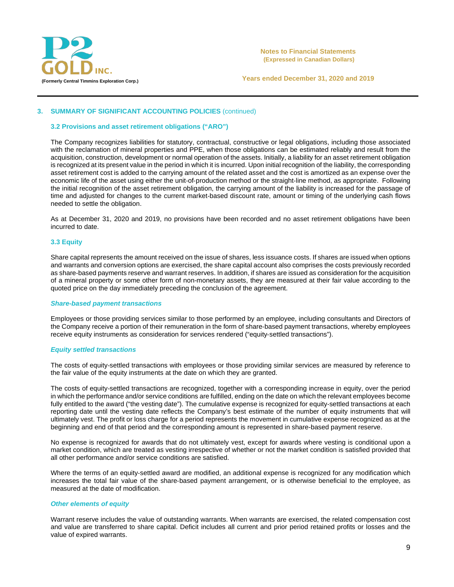

**Years ended December 31, 2020 and 2019**

#### **3. SUMMARY OF SIGNIFICANT ACCOUNTING POLICIES** (continued)

#### **3.2 Provisions and asset retirement obligations ("ARO")**

The Company recognizes liabilities for statutory, contractual, constructive or legal obligations, including those associated with the reclamation of mineral properties and PPE, when those obligations can be estimated reliably and result from the acquisition, construction, development or normal operation of the assets. Initially, a liability for an asset retirement obligation is recognized at its present value in the period in which it is incurred. Upon initial recognition of the liability, the corresponding asset retirement cost is added to the carrying amount of the related asset and the cost is amortized as an expense over the economic life of the asset using either the unit‐of‐production method or the straight‐line method, as appropriate. Following the initial recognition of the asset retirement obligation, the carrying amount of the liability is increased for the passage of time and adjusted for changes to the current market-based discount rate, amount or timing of the underlying cash flows needed to settle the obligation.

As at December 31, 2020 and 2019, no provisions have been recorded and no asset retirement obligations have been incurred to date.

#### **3.3 Equity**

Share capital represents the amount received on the issue of shares, less issuance costs. If shares are issued when options and warrants and conversion options are exercised, the share capital account also comprises the costs previously recorded as share-based payments reserve and warrant reserves. In addition, if shares are issued as consideration for the acquisition of a mineral property or some other form of non-monetary assets, they are measured at their fair value according to the quoted price on the day immediately preceding the conclusion of the agreement.

#### *Share-based payment transactions*

Employees or those providing services similar to those performed by an employee, including consultants and Directors of the Company receive a portion of their remuneration in the form of share‐based payment transactions, whereby employees receive equity instruments as consideration for services rendered ("equity‐settled transactions").

#### *Equity settled transactions*

The costs of equity‐settled transactions with employees or those providing similar services are measured by reference to the fair value of the equity instruments at the date on which they are granted.

The costs of equity‐settled transactions are recognized, together with a corresponding increase in equity, over the period in which the performance and/or service conditions are fulfilled, ending on the date on which the relevant employees become fully entitled to the award ("the vesting date"). The cumulative expense is recognized for equity-settled transactions at each reporting date until the vesting date reflects the Company's best estimate of the number of equity instruments that will ultimately vest. The profit or loss charge for a period represents the movement in cumulative expense recognized as at the beginning and end of that period and the corresponding amount is represented in share-based payment reserve.

No expense is recognized for awards that do not ultimately vest, except for awards where vesting is conditional upon a market condition, which are treated as vesting irrespective of whether or not the market condition is satisfied provided that all other performance and/or service conditions are satisfied.

Where the terms of an equity-settled award are modified, an additional expense is recognized for any modification which increases the total fair value of the share‐based payment arrangement, or is otherwise beneficial to the employee, as measured at the date of modification.

#### *Other elements of equity*

Warrant reserve includes the value of outstanding warrants. When warrants are exercised, the related compensation cost and value are transferred to share capital. Deficit includes all current and prior period retained profits or losses and the value of expired warrants.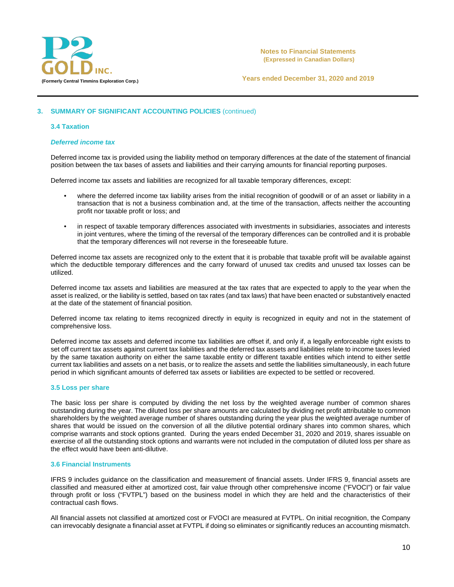

**Years ended December 31, 2020 and 2019**

### **3. SUMMARY OF SIGNIFICANT ACCOUNTING POLICIES** (continued)

#### **3.4 Taxation**

#### *Deferred income tax*

Deferred income tax is provided using the liability method on temporary differences at the date of the statement of financial position between the tax bases of assets and liabilities and their carrying amounts for financial reporting purposes.

Deferred income tax assets and liabilities are recognized for all taxable temporary differences, except:

- where the deferred income tax liability arises from the initial recognition of goodwill or of an asset or liability in a transaction that is not a business combination and, at the time of the transaction, affects neither the accounting profit nor taxable profit or loss; and
- in respect of taxable temporary differences associated with investments in subsidiaries, associates and interests in joint ventures, where the timing of the reversal of the temporary differences can be controlled and it is probable that the temporary differences will not reverse in the foreseeable future.

Deferred income tax assets are recognized only to the extent that it is probable that taxable profit will be available against which the deductible temporary differences and the carry forward of unused tax credits and unused tax losses can be utilized.

Deferred income tax assets and liabilities are measured at the tax rates that are expected to apply to the year when the asset is realized, or the liability is settled, based on tax rates (and tax laws) that have been enacted or substantively enacted at the date of the statement of financial position.

Deferred income tax relating to items recognized directly in equity is recognized in equity and not in the statement of comprehensive loss.

Deferred income tax assets and deferred income tax liabilities are offset if, and only if, a legally enforceable right exists to set off current tax assets against current tax liabilities and the deferred tax assets and liabilities relate to income taxes levied by the same taxation authority on either the same taxable entity or different taxable entities which intend to either settle current tax liabilities and assets on a net basis, or to realize the assets and settle the liabilities simultaneously, in each future period in which significant amounts of deferred tax assets or liabilities are expected to be settled or recovered.

# **3.5 Loss per share**

The basic loss per share is computed by dividing the net loss by the weighted average number of common shares outstanding during the year. The diluted loss per share amounts are calculated by dividing net profit attributable to common shareholders by the weighted average number of shares outstanding during the year plus the weighted average number of shares that would be issued on the conversion of all the dilutive potential ordinary shares into common shares, which comprise warrants and stock options granted. During the years ended December 31, 2020 and 2019, shares issuable on exercise of all the outstanding stock options and warrants were not included in the computation of diluted loss per share as the effect would have been anti-dilutive.

# **3.6 Financial Instruments**

IFRS 9 includes guidance on the classification and measurement of financial assets. Under IFRS 9, financial assets are classified and measured either at amortized cost, fair value through other comprehensive income ("FVOCI") or fair value through profit or loss ("FVTPL") based on the business model in which they are held and the characteristics of their contractual cash flows.

All financial assets not classified at amortized cost or FVOCI are measured at FVTPL. On initial recognition, the Company can irrevocably designate a financial asset at FVTPL if doing so eliminates or significantly reduces an accounting mismatch.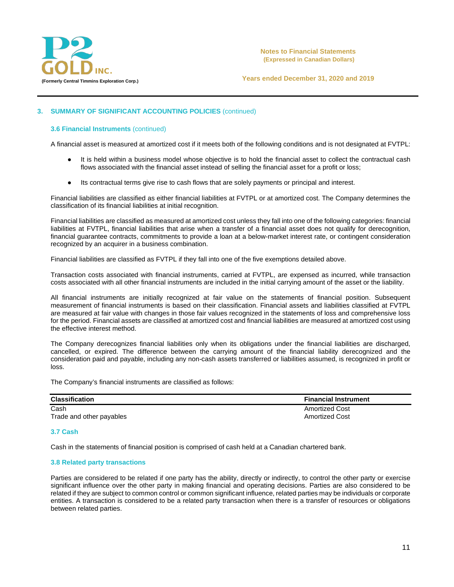

# **3. SUMMARY OF SIGNIFICANT ACCOUNTING POLICIES** (continued)

### **3.6 Financial Instruments** (continued)

A financial asset is measured at amortized cost if it meets both of the following conditions and is not designated at FVTPL:

- It is held within a business model whose objective is to hold the financial asset to collect the contractual cash flows associated with the financial asset instead of selling the financial asset for a profit or loss;
- Its contractual terms give rise to cash flows that are solely payments or principal and interest.

Financial liabilities are classified as either financial liabilities at FVTPL or at amortized cost. The Company determines the classification of its financial liabilities at initial recognition.

Financial liabilities are classified as measured at amortized cost unless they fall into one of the following categories: financial liabilities at FVTPL, financial liabilities that arise when a transfer of a financial asset does not qualify for derecognition, financial guarantee contracts, commitments to provide a loan at a below-market interest rate, or contingent consideration recognized by an acquirer in a business combination.

Financial liabilities are classified as FVTPL if they fall into one of the five exemptions detailed above.

Transaction costs associated with financial instruments, carried at FVTPL, are expensed as incurred, while transaction costs associated with all other financial instruments are included in the initial carrying amount of the asset or the liability.

All financial instruments are initially recognized at fair value on the statements of financial position. Subsequent measurement of financial instruments is based on their classification. Financial assets and liabilities classified at FVTPL are measured at fair value with changes in those fair values recognized in the statements of loss and comprehensive loss for the period. Financial assets are classified at amortized cost and financial liabilities are measured at amortized cost using the effective interest method.

The Company derecognizes financial liabilities only when its obligations under the financial liabilities are discharged, cancelled, or expired. The difference between the carrying amount of the financial liability derecognized and the consideration paid and payable, including any non-cash assets transferred or liabilities assumed, is recognized in profit or loss.

The Company's financial instruments are classified as follows:

| <b>Classification</b>    | <b>Financial Instrument</b> |
|--------------------------|-----------------------------|
| Cash                     | <b>Amortized Cost</b>       |
| Trade and other payables | <b>Amortized Cost</b>       |

# **3.7 Cash**

Cash in the statements of financial position is comprised of cash held at a Canadian chartered bank.

# **3.8 Related party transactions**

Parties are considered to be related if one party has the ability, directly or indirectly, to control the other party or exercise significant influence over the other party in making financial and operating decisions. Parties are also considered to be related if they are subject to common control or common significant influence, related parties may be individuals or corporate entities. A transaction is considered to be a related party transaction when there is a transfer of resources or obligations between related parties.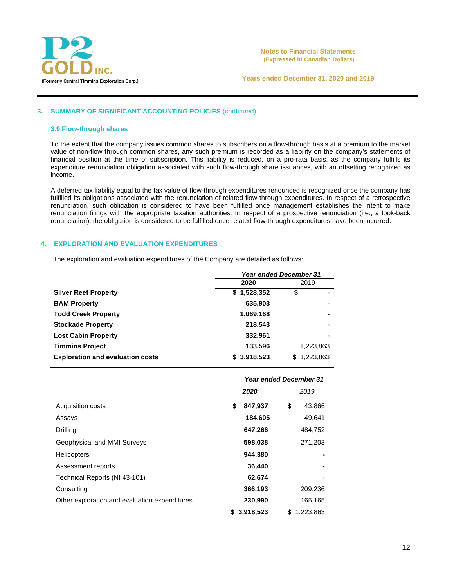

**Years ended December 31, 2020 and 2019**

# **3. SUMMARY OF SIGNIFICANT ACCOUNTING POLICIES** (continued)

#### **3.9 Flow-through shares**

To the extent that the company issues common shares to subscribers on a flow-through basis at a premium to the market value of non-flow through common shares, any such premium is recorded as a liability on the company's statements of financial position at the time of subscription. This liability is reduced, on a pro-rata basis, as the company fulfills its expenditure renunciation obligation associated with such flow-through share issuances, with an offsetting recognized as income.

A deferred tax liability equal to the tax value of flow-through expenditures renounced is recognized once the company has fulfilled its obligations associated with the renunciation of related flow-through expenditures. In respect of a retrospective renunciation, such obligation is considered to have been fulfilled once management establishes the intent to make renunciation filings with the appropriate taxation authorities. In respect of a prospective renunciation (i.e., a look-back renunciation), the obligation is considered to be fulfilled once related flow-through expenditures have been incurred.

# **4. EXPLORATION AND EVALUATION EXPENDITURES**

The exploration and evaluation expenditures of the Company are detailed as follows:

|                                         | <b>Year ended December 31</b> |                 |  |
|-----------------------------------------|-------------------------------|-----------------|--|
|                                         | 2020                          | 2019            |  |
| <b>Silver Reef Property</b>             | 1,528,352<br>S.               | \$              |  |
| <b>BAM Property</b>                     | 635,903                       |                 |  |
| <b>Todd Creek Property</b>              | 1,069,168                     |                 |  |
| <b>Stockade Property</b>                | 218,543                       |                 |  |
| <b>Lost Cabin Property</b>              | 332,961                       |                 |  |
| <b>Timmins Project</b>                  | 133,596                       | 1,223,863       |  |
| <b>Exploration and evaluation costs</b> | \$3,918,523                   | 1,223,863<br>S. |  |

|                                               | <b>Year ended December 31</b> |           |    |           |  |
|-----------------------------------------------|-------------------------------|-----------|----|-----------|--|
|                                               |                               | 2020      |    | 2019      |  |
| Acquisition costs                             | \$                            | 847,937   | \$ | 43,866    |  |
| Assays                                        |                               | 184,605   |    | 49,641    |  |
| Drilling                                      |                               | 647,266   |    | 484,752   |  |
| Geophysical and MMI Surveys                   |                               | 598,038   |    | 271,203   |  |
| <b>Helicopters</b>                            |                               | 944,380   |    |           |  |
| Assessment reports                            |                               | 36,440    |    |           |  |
| Technical Reports (NI 43-101)                 |                               | 62,674    |    |           |  |
| Consulting                                    |                               | 366,193   |    | 209,236   |  |
| Other exploration and evaluation expenditures |                               | 230,990   |    | 165,165   |  |
|                                               | S                             | 3,918,523 | \$ | 1,223,863 |  |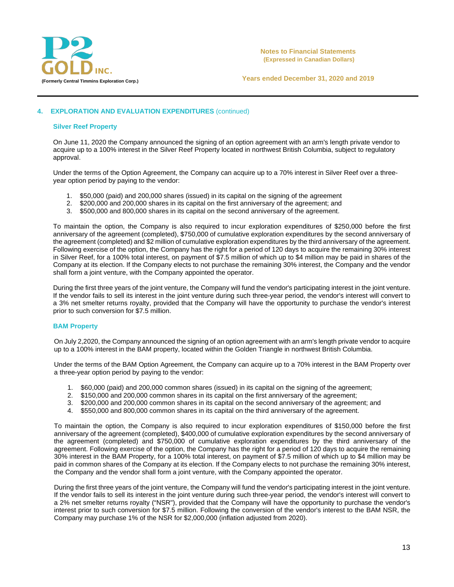

**Years ended December 31, 2020 and 2019**

# **4. EXPLORATION AND EVALUATION EXPENDITURES** (continued)

# **Silver Reef Property**

On June 11, 2020 the Company announced the signing of an option agreement with an arm's length private vendor to acquire up to a 100% interest in the Silver Reef Property located in northwest British Columbia, subject to regulatory approval.

Under the terms of the Option Agreement, the Company can acquire up to a 70% interest in Silver Reef over a threeyear option period by paying to the vendor:

- 1. \$50,000 (paid) and 200,000 shares (issued) in its capital on the signing of the agreement 1.<br>2. \$200,000 and 200,000 shares in its capital on the first anniversary of the agreement: and
- 2. \$200,000 and 200,000 shares in its capital on the first anniversary of the agreement; and
- 3. \$500,000 and 800,000 shares in its capital on the second anniversary of the agreement.

To maintain the option, the Company is also required to incur exploration expenditures of \$250,000 before the first anniversary of the agreement (completed), \$750,000 of cumulative exploration expenditures by the second anniversary of the agreement (completed) and \$2 million of cumulative exploration expenditures by the third anniversary of the agreement. Following exercise of the option, the Company has the right for a period of 120 days to acquire the remaining 30% interest in Silver Reef, for a 100% total interest, on payment of \$7.5 million of which up to \$4 million may be paid in shares of the Company at its election. If the Company elects to not purchase the remaining 30% interest, the Company and the vendor shall form a joint venture, with the Company appointed the operator.

During the first three years of the joint venture, the Company will fund the vendor's participating interest in the joint venture. If the vendor fails to sell its interest in the joint venture during such three-year period, the vendor's interest will convert to a 3% net smelter returns royalty, provided that the Company will have the opportunity to purchase the vendor's interest prior to such conversion for \$7.5 million.

# **BAM Property**

On July 2,2020, the Company announced the signing of an option agreement with an arm's length private vendor to acquire up to a 100% interest in the BAM property, located within the Golden Triangle in northwest British Columbia.

Under the terms of the BAM Option Agreement, the Company can acquire up to a 70% interest in the BAM Property over a three-year option period by paying to the vendor:

- 1. \$60,000 (paid) and 200,000 common shares (issued) in its capital on the signing of the agreement;
- 2. \$150,000 and 200,000 common shares in its capital on the first anniversary of the agreement;<br>3. \$200,000 and 200,000 common shares in its capital on the second anniversary of the agreeme
- \$200,000 and 200,000 common shares in its capital on the second anniversary of the agreement; and
- 4. \$550,000 and 800,000 common shares in its capital on the third anniversary of the agreement.

To maintain the option, the Company is also required to incur exploration expenditures of \$150,000 before the first anniversary of the agreement (completed), \$400,000 of cumulative exploration expenditures by the second anniversary of the agreement (completed) and \$750,000 of cumulative exploration expenditures by the third anniversary of the agreement. Following exercise of the option, the Company has the right for a period of 120 days to acquire the remaining 30% interest in the BAM Property, for a 100% total interest, on payment of \$7.5 million of which up to \$4 million may be paid in common shares of the Company at its election. If the Company elects to not purchase the remaining 30% interest, the Company and the vendor shall form a joint venture, with the Company appointed the operator.

During the first three years of the joint venture, the Company will fund the vendor's participating interest in the joint venture. If the vendor fails to sell its interest in the joint venture during such three-year period, the vendor's interest will convert to a 2% net smelter returns royalty ("NSR"), provided that the Company will have the opportunity to purchase the vendor's interest prior to such conversion for \$7.5 million. Following the conversion of the vendor's interest to the BAM NSR, the Company may purchase 1% of the NSR for \$2,000,000 (inflation adjusted from 2020).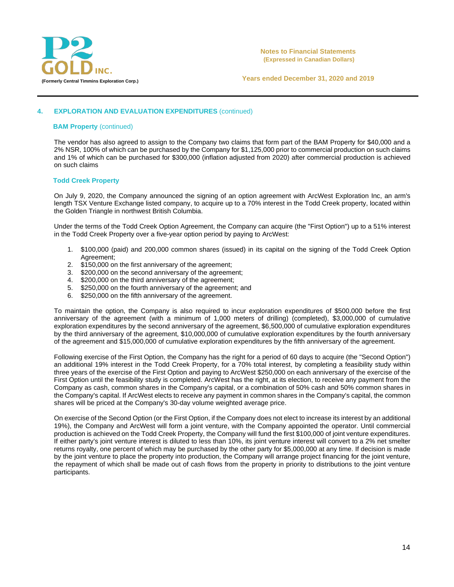

**Years ended December 31, 2020 and 2019**

#### **4. EXPLORATION AND EVALUATION EXPENDITURES** (continued)

#### **BAM Property (continued)**

The vendor has also agreed to assign to the Company two claims that form part of the BAM Property for \$40,000 and a 2% NSR, 100% of which can be purchased by the Company for \$1,125,000 prior to commercial production on such claims and 1% of which can be purchased for \$300,000 (inflation adjusted from 2020) after commercial production is achieved on such claims

#### **Todd Creek Property**

On July 9, 2020, the Company announced the signing of an option agreement with ArcWest Exploration Inc, an arm's length TSX Venture Exchange listed company, to acquire up to a 70% interest in the Todd Creek property, located within the Golden Triangle in northwest British Columbia.

Under the terms of the Todd Creek Option Agreement, the Company can acquire (the "First Option") up to a 51% interest in the Todd Creek Property over a five-year option period by paying to ArcWest:

- 1. \$100,000 (paid) and 200,000 common shares (issued) in its capital on the signing of the Todd Creek Option Agreement;
- 2. \$150,000 on the first anniversary of the agreement;
- 3. \$200,000 on the second anniversary of the agreement;
- 4. \$200,000 on the third anniversary of the agreement;
- 5. \$250,000 on the fourth anniversary of the agreement; and
- 6. \$250,000 on the fifth anniversary of the agreement.

To maintain the option, the Company is also required to incur exploration expenditures of \$500,000 before the first anniversary of the agreement (with a minimum of 1,000 meters of drilling) (completed), \$3,000,000 of cumulative exploration expenditures by the second anniversary of the agreement, \$6,500,000 of cumulative exploration expenditures by the third anniversary of the agreement, \$10,000,000 of cumulative exploration expenditures by the fourth anniversary of the agreement and \$15,000,000 of cumulative exploration expenditures by the fifth anniversary of the agreement.

Following exercise of the First Option, the Company has the right for a period of 60 days to acquire (the "Second Option") an additional 19% interest in the Todd Creek Property, for a 70% total interest, by completing a feasibility study within three years of the exercise of the First Option and paying to ArcWest \$250,000 on each anniversary of the exercise of the First Option until the feasibility study is completed. ArcWest has the right, at its election, to receive any payment from the Company as cash, common shares in the Company's capital, or a combination of 50% cash and 50% common shares in the Company's capital. If ArcWest elects to receive any payment in common shares in the Company's capital, the common shares will be priced at the Company's 30-day volume weighted average price.

On exercise of the Second Option (or the First Option, if the Company does not elect to increase its interest by an additional 19%), the Company and ArcWest will form a joint venture, with the Company appointed the operator. Until commercial production is achieved on the Todd Creek Property, the Company will fund the first \$100,000 of joint venture expenditures. If either party's joint venture interest is diluted to less than 10%, its joint venture interest will convert to a 2% net smelter returns royalty, one percent of which may be purchased by the other party for \$5,000,000 at any time. If decision is made by the joint venture to place the property into production, the Company will arrange project financing for the joint venture, the repayment of which shall be made out of cash flows from the property in priority to distributions to the joint venture participants.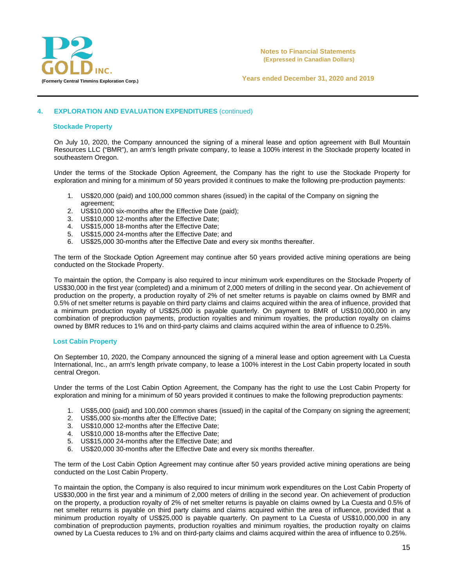

**Years ended December 31, 2020 and 2019**

### **4. EXPLORATION AND EVALUATION EXPENDITURES** (continued)

#### **Stockade Property**

On July 10, 2020, the Company announced the signing of a mineral lease and option agreement with Bull Mountain Resources LLC ("BMR"), an arm's length private company, to lease a 100% interest in the Stockade property located in southeastern Oregon.

Under the terms of the Stockade Option Agreement, the Company has the right to use the Stockade Property for exploration and mining for a minimum of 50 years provided it continues to make the following pre-production payments:

- 1. US\$20,000 (paid) and 100,000 common shares (issued) in the capital of the Company on signing the agreement;
- 2. US\$10,000 six-months after the Effective Date (paid);
- 3. US\$10,000 12-months after the Effective Date;
- 4. US\$15,000 18-months after the Effective Date;
- 5. US\$15,000 24-months after the Effective Date; and
- 6. US\$25,000 30-months after the Effective Date and every six months thereafter.

The term of the Stockade Option Agreement may continue after 50 years provided active mining operations are being conducted on the Stockade Property.

To maintain the option, the Company is also required to incur minimum work expenditures on the Stockade Property of US\$30,000 in the first year (completed) and a minimum of 2,000 meters of drilling in the second year. On achievement of production on the property, a production royalty of 2% of net smelter returns is payable on claims owned by BMR and 0.5% of net smelter returns is payable on third party claims and claims acquired within the area of influence, provided that a minimum production royalty of US\$25,000 is payable quarterly. On payment to BMR of US\$10,000,000 in any combination of preproduction payments, production royalties and minimum royalties, the production royalty on claims owned by BMR reduces to 1% and on third-party claims and claims acquired within the area of influence to 0.25%.

#### **Lost Cabin Property**

On September 10, 2020, the Company announced the signing of a mineral lease and option agreement with La Cuesta International, Inc., an arm's length private company, to lease a 100% interest in the Lost Cabin property located in south central Oregon.

Under the terms of the Lost Cabin Option Agreement, the Company has the right to use the Lost Cabin Property for exploration and mining for a minimum of 50 years provided it continues to make the following preproduction payments:

- 1. US\$5,000 (paid) and 100,000 common shares (issued) in the capital of the Company on signing the agreement;
- 2. US\$5,000 six-months after the Effective Date;
- 3. US\$10,000 12-months after the Effective Date;
- 4. US\$10,000 18-months after the Effective Date;
- 5. US\$15,000 24-months after the Effective Date; and
- 6. US\$20,000 30-months after the Effective Date and every six months thereafter.

The term of the Lost Cabin Option Agreement may continue after 50 years provided active mining operations are being conducted on the Lost Cabin Property.

To maintain the option, the Company is also required to incur minimum work expenditures on the Lost Cabin Property of US\$30,000 in the first year and a minimum of 2,000 meters of drilling in the second year. On achievement of production on the property, a production royalty of 2% of net smelter returns is payable on claims owned by La Cuesta and 0.5% of net smelter returns is payable on third party claims and claims acquired within the area of influence, provided that a minimum production royalty of US\$25,000 is payable quarterly. On payment to La Cuesta of US\$10,000,000 in any combination of preproduction payments, production royalties and minimum royalties, the production royalty on claims owned by La Cuesta reduces to 1% and on third-party claims and claims acquired within the area of influence to 0.25%.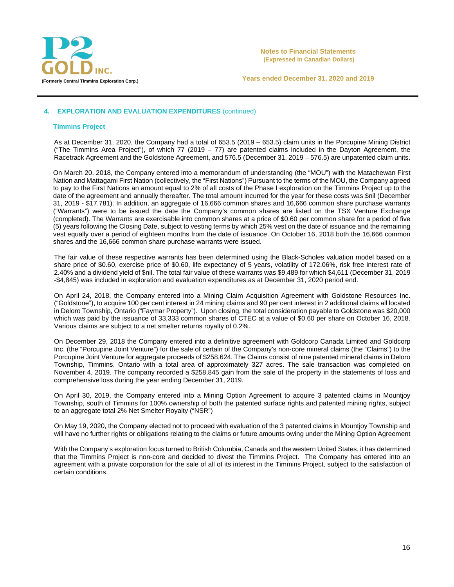

**Years ended December 31, 2020 and 2019**

### **4. EXPLORATION AND EVALUATION EXPENDITURES** (continued)

#### **Timmins Project**

As at December 31, 2020, the Company had a total of 653.5 (2019 – 653.5) claim units in the Porcupine Mining District ("The Timmins Area Project"), of which 77 (2019 – 77) are patented claims included in the Dayton Agreement, the Racetrack Agreement and the Goldstone Agreement, and 576.5 (December 31, 2019 – 576.5) are unpatented claim units.

On March 20, 2018, the Company entered into a memorandum of understanding (the "MOU") with the Matachewan First Nation and Mattagami First Nation (collectively, the "First Nations") Pursuant to the terms of the MOU, the Company agreed to pay to the First Nations an amount equal to 2% of all costs of the Phase I exploration on the Timmins Project up to the date of the agreement and annually thereafter. The total amount incurred for the year for these costs was \$nil (December 31, 2019 - \$17,781). In addition, an aggregate of 16,666 common shares and 16,666 common share purchase warrants ("Warrants") were to be issued the date the Company's common shares are listed on the TSX Venture Exchange (completed). The Warrants are exercisable into common shares at a price of \$0.60 per common share for a period of five (5) years following the Closing Date, subject to vesting terms by which 25% vest on the date of issuance and the remaining vest equally over a period of eighteen months from the date of issuance. On October 16, 2018 both the 16,666 common shares and the 16,666 common share purchase warrants were issued.

The fair value of these respective warrants has been determined using the Black-Scholes valuation model based on a share price of \$0.60, exercise price of \$0.60, life expectancy of 5 years, volatility of 172.06%, risk free interest rate of 2.40% and a dividend yield of \$nil. The total fair value of these warrants was \$9,489 for which \$4,611 (December 31, 2019 -\$4,845) was included in exploration and evaluation expenditures as at December 31, 2020 period end.

On April 24, 2018, the Company entered into a Mining Claim Acquisition Agreement with Goldstone Resources Inc. ("Goldstone"), to acquire 100 per cent interest in 24 mining claims and 90 per cent interest in 2 additional claims all located in Deloro Township, Ontario ("Faymar Property"). Upon closing, the total consideration payable to Goldstone was \$20,000 which was paid by the issuance of 33,333 common shares of CTEC at a value of \$0.60 per share on October 16, 2018. Various claims are subject to a net smelter returns royalty of 0.2%.

On December 29, 2018 the Company entered into a definitive agreement with Goldcorp Canada Limited and Goldcorp Inc. (the "Porcupine Joint Venture") for the sale of certain of the Company's non-core mineral claims (the "Claims") to the Porcupine Joint Venture for aggregate proceeds of \$258,624. The Claims consist of nine patented mineral claims in Deloro Township, Timmins, Ontario with a total area of approximately 327 acres. The sale transaction was completed on November 4, 2019. The company recorded a \$258,845 gain from the sale of the property in the statements of loss and comprehensive loss during the year ending December 31, 2019.

On April 30, 2019, the Company entered into a Mining Option Agreement to acquire 3 patented claims in Mountjoy Township, south of Timmins for 100% ownership of both the patented surface rights and patented mining rights, subject to an aggregate total 2% Net Smelter Royalty ("NSR")

On May 19, 2020, the Company elected not to proceed with evaluation of the 3 patented claims in Mountjoy Township and will have no further rights or obligations relating to the claims or future amounts owing under the Mining Option Agreement

With the Company's exploration focus turned to British Columbia, Canada and the western United States, it has determined that the Timmins Project is non-core and decided to divest the Timmins Project. The Company has entered into an agreement with a private corporation for the sale of all of its interest in the Timmins Project, subject to the satisfaction of certain conditions.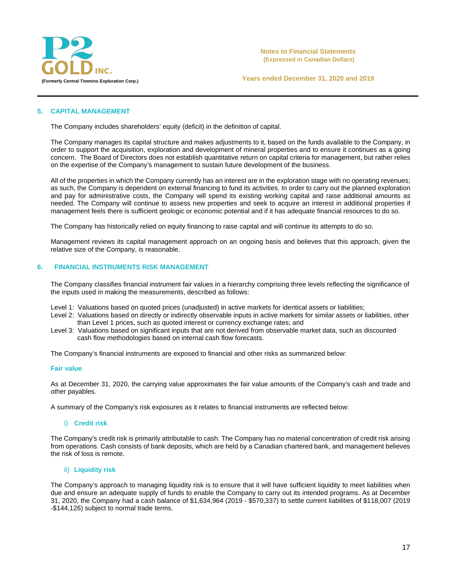

**Years ended December 31, 2020 and 2019**

# **5. CAPITAL MANAGEMENT**

The Company includes shareholders' equity (deficit) in the definition of capital.

The Company manages its capital structure and makes adjustments to it, based on the funds available to the Company, in order to support the acquisition, exploration and development of mineral properties and to ensure it continues as a going concern. The Board of Directors does not establish quantitative return on capital criteria for management, but rather relies on the expertise of the Company's management to sustain future development of the business.

All of the properties in which the Company currently has an interest are in the exploration stage with no operating revenues; as such, the Company is dependent on external financing to fund its activities. In order to carry out the planned exploration and pay for administrative costs, the Company will spend its existing working capital and raise additional amounts as needed. The Company will continue to assess new properties and seek to acquire an interest in additional properties if management feels there is sufficient geologic or economic potential and if it has adequate financial resources to do so.

The Company has historically relied on equity financing to raise capital and will continue its attempts to do so.

Management reviews its capital management approach on an ongoing basis and believes that this approach, given the relative size of the Company, is reasonable.

# **6. FINANCIAL INSTRUMENTS RISK MANAGEMENT**

The Company classifies financial instrument fair values in a hierarchy comprising three levels reflecting the significance of the inputs used in making the measurements, described as follows:

- Level 1: Valuations based on quoted prices (unadiusted) in active markets for identical assets or liabilities:
- Level 2: Valuations based on directly or indirectly observable inputs in active markets for similar assets or liabilities, other than Level 1 prices, such as quoted interest or currency exchange rates; and
- Level 3: Valuations based on significant inputs that are not derived from observable market data, such as discounted cash flow methodologies based on internal cash flow forecasts.

The Company's financial instruments are exposed to financial and other risks as summarized below:

#### **Fair value**

As at December 31, 2020, the carrying value approximates the fair value amounts of the Company's cash and trade and other payables.

A summary of the Company's risk exposures as it relates to financial instruments are reflected below:

# i) **Credit risk**

The Company's credit risk is primarily attributable to cash. The Company has no material concentration of credit risk arising from operations. Cash consists of bank deposits, which are held by a Canadian chartered bank, and management believes the risk of loss is remote.

# ii) **Liquidity risk**

The Company's approach to managing liquidity risk is to ensure that it will have sufficient liquidity to meet liabilities when due and ensure an adequate supply of funds to enable the Company to carry out its intended programs. As at December 31, 2020, the Company had a cash balance of \$1,634,964 (2019 - \$570,337) to settle current liabilities of \$118,007 (2019 -\$144,126) subject to normal trade terms.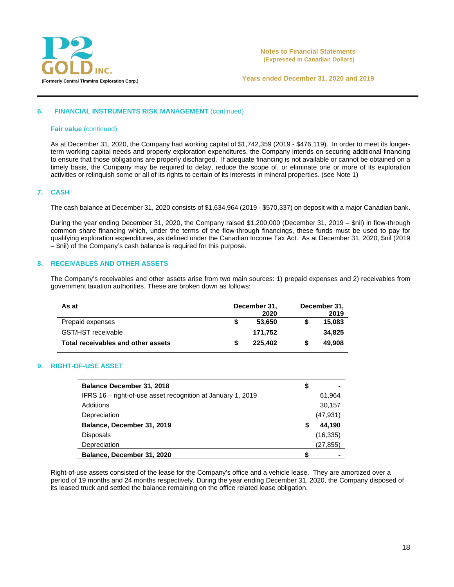

### **6. FINANCIAL INSTRUMENTS RISK MANAGEMENT** (continued)

#### **Fair value** (continued)

As at December 31, 2020, the Company had working capital of \$1,742,359 (2019 - \$476,119). In order to meet its longerterm working capital needs and property exploration expenditures, the Company intends on securing additional financing to ensure that those obligations are properly discharged. If adequate financing is not available or cannot be obtained on a timely basis, the Company may be required to delay, reduce the scope of, or eliminate one or more of its exploration activities or relinquish some or all of its rights to certain of its interests in mineral properties. (see Note 1)

# **7. CASH**

The cash balance at December 31, 2020 consists of \$1,634,964 (2019 - \$570,337) on deposit with a major Canadian bank.

During the year ending December 31, 2020, the Company raised \$1,200,000 (December 31, 2019 – \$nil) in flow-through common share financing which, under the terms of the flow-through financings, these funds must be used to pay for qualifying exploration expenditures, as defined under the Canadian Income Tax Act. As at December 31, 2020, \$nil (2019 – \$nil) of the Company's cash balance is required for this purpose.

# **8. RECEIVABLES AND OTHER ASSETS**

The Company's receivables and other assets arise from two main sources: 1) prepaid expenses and 2) receivables from government taxation authorities. These are broken down as follows:

| As at                              | December 31, |         | December 31, |        |
|------------------------------------|--------------|---------|--------------|--------|
|                                    |              | 2020    |              | 2019   |
| Prepaid expenses                   |              | 53,650  | S            | 15.083 |
| GST/HST receivable                 |              | 171.752 |              | 34.825 |
| Total receivables and other assets |              | 225.402 | S            | 49.908 |

# **9. RIGHT-OF-USE ASSET**

| <b>Balance December 31, 2018</b>                            | \$           |
|-------------------------------------------------------------|--------------|
| IFRS 16 - right-of-use asset recognition at January 1, 2019 | 61,964       |
| Additions                                                   | 30,157       |
| Depreciation                                                | (47,931)     |
| Balance, December 31, 2019                                  | \$<br>44,190 |
| <b>Disposals</b>                                            | (16, 335)    |
| Depreciation                                                | (27, 855)    |
| Balance, December 31, 2020                                  |              |

Right-of-use assets consisted of the lease for the Company's office and a vehicle lease. They are amortized over a period of 19 months and 24 months respectively. During the year ending December 31, 2020, the Company disposed of its leased truck and settled the balance remaining on the office related lease obligation.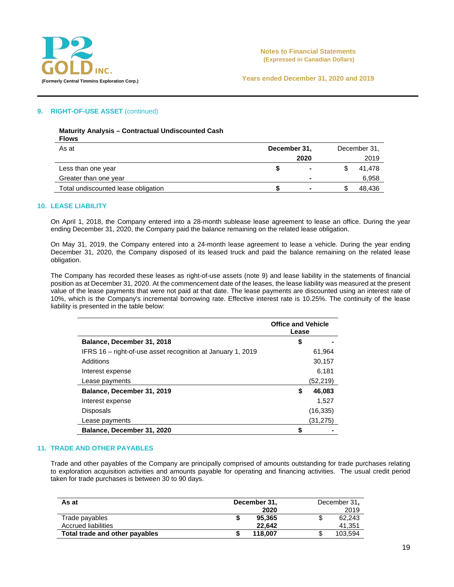

# **9. RIGHT-OF-USE ASSET (continued)**

#### **Maturity Analysis – Contractual Undiscounted Cash Flows**

| As at                               | December 31, |                | December 31, |        |
|-------------------------------------|--------------|----------------|--------------|--------|
|                                     |              | 2020           |              | 2019   |
| Less than one year                  |              |                |              | 41.478 |
| Greater than one year               |              | $\blacksquare$ |              | 6,958  |
| Total undiscounted lease obligation |              |                |              | 48,436 |

# **10. LEASE LIABILITY**

On April 1, 2018, the Company entered into a 28-month sublease lease agreement to lease an office. During the year ending December 31, 2020, the Company paid the balance remaining on the related lease obligation.

On May 31, 2019, the Company entered into a 24-month lease agreement to lease a vehicle. During the year ending December 31, 2020, the Company disposed of its leased truck and paid the balance remaining on the related lease obligation.

The Company has recorded these leases as right-of-use assets (note 9) and lease liability in the statements of financial position as at December 31, 2020. At the commencement date of the leases, the lease liability was measured at the present value of the lease payments that were not paid at that date. The lease payments are discounted using an interest rate of 10%, which is the Company's incremental borrowing rate. Effective interest rate is 10.25%. The continuity of the lease liability is presented in the table below:

|                                                             | <b>Office and Vehicle</b><br>Lease |           |
|-------------------------------------------------------------|------------------------------------|-----------|
| Balance, December 31, 2018                                  | \$                                 |           |
| IFRS 16 – right-of-use asset recognition at January 1, 2019 |                                    | 61,964    |
| Additions                                                   |                                    | 30,157    |
| Interest expense                                            |                                    | 6.181     |
| Lease payments                                              |                                    | (52,219)  |
| Balance, December 31, 2019                                  | \$                                 | 46,083    |
| Interest expense                                            |                                    | 1.527     |
| <b>Disposals</b>                                            |                                    | (16, 335) |
| Lease payments                                              |                                    | (31,275)  |
| Balance, December 31, 2020                                  |                                    |           |

# **11. TRADE AND OTHER PAYABLES**

Trade and other payables of the Company are principally comprised of amounts outstanding for trade purchases relating to exploration acquisition activities and amounts payable for operating and financing activities. The usual credit period taken for trade purchases is between 30 to 90 days.

| As at                          | December 31, |         |   | December 31, |  |
|--------------------------------|--------------|---------|---|--------------|--|
|                                |              | 2020    |   | 2019         |  |
| Trade payables                 |              | 95.365  |   | 62.243       |  |
| Accrued liabilities            |              | 22.642  |   | 41,351       |  |
| Total trade and other payables |              | 118.007 | J | 103.594      |  |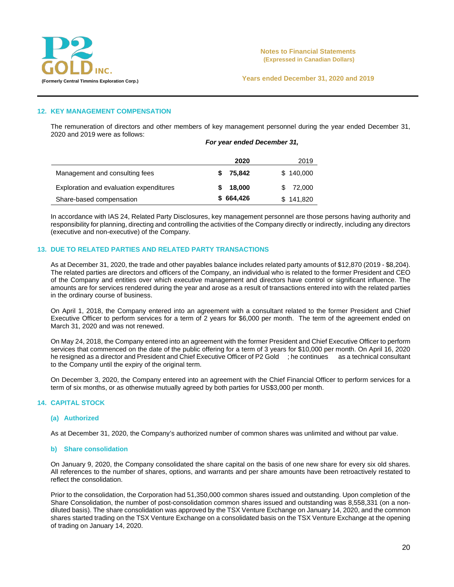

### **12. KEY MANAGEMENT COMPENSATION**

The remuneration of directors and other members of key management personnel during the year ended December 31, 2020 and 2019 were as follows:

|                                         | 2020      | 2019      |
|-----------------------------------------|-----------|-----------|
| Management and consulting fees          | \$75.842  | \$140,000 |
| Exploration and evaluation expenditures | 18,000    | \$72,000  |
| Share-based compensation                | \$664,426 | \$141,820 |

#### *For year ended December 31,*

In accordance with IAS 24, Related Party Disclosures, key management personnel are those persons having authority and responsibility for planning, directing and controlling the activities of the Company directly or indirectly, including any directors (executive and non-executive) of the Company.

# **13. DUE TO RELATED PARTIES AND RELATED PARTY TRANSACTIONS**

As at December 31, 2020, the trade and other payables balance includes related party amounts of \$12,870 (2019 - \$8,204). The related parties are directors and officers of the Company, an individual who is related to the former President and CEO of the Company and entities over which executive management and directors have control or significant influence. The amounts are for services rendered during the year and arose as a result of transactions entered into with the related parties in the ordinary course of business.

On April 1, 2018, the Company entered into an agreement with a consultant related to the former President and Chief Executive Officer to perform services for a term of 2 years for \$6,000 per month. The term of the agreement ended on March 31, 2020 and was not renewed.

On May 24, 2018, the Company entered into an agreement with the former President and Chief Executive Officer to perform services that commenced on the date of the public offering for a term of 3 years for \$10,000 per month. On April 16, 2020 he resigned as a director and President and Chief Executive Officer of P2 Gold ; he continues as a technical consultant to the Company until the expiry of the original term.

On December 3, 2020, the Company entered into an agreement with the Chief Financial Officer to perform services for a term of six months, or as otherwise mutually agreed by both parties for US\$3,000 per month.

### **14. CAPITAL STOCK**

#### **(a) Authorized**

As at December 31, 2020, the Company's authorized number of common shares was unlimited and without par value.

#### **b) Share consolidation**

On January 9, 2020, the Company consolidated the share capital on the basis of one new share for every six old shares. All references to the number of shares, options, and warrants and per share amounts have been retroactively restated to reflect the consolidation.

Prior to the consolidation, the Corporation had 51,350,000 common shares issued and outstanding. Upon completion of the Share Consolidation, the number of post-consolidation common shares issued and outstanding was 8,558,331 (on a nondiluted basis). The share consolidation was approved by the TSX Venture Exchange on January 14, 2020, and the common shares started trading on the TSX Venture Exchange on a consolidated basis on the TSX Venture Exchange at the opening of trading on January 14, 2020.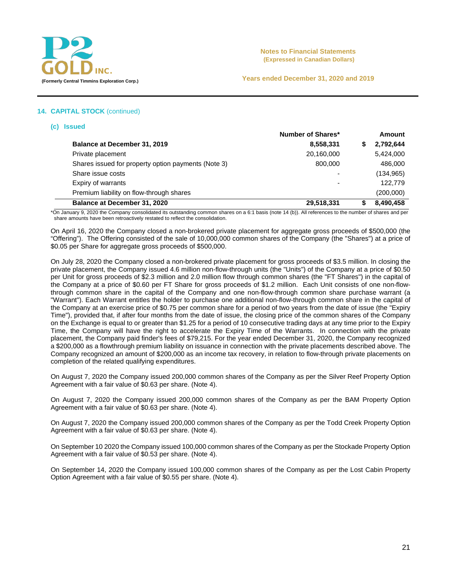

### **14. CAPITAL STOCK** (continued)

**(c) Issued**

|                                                     | Number of Shares* |   | <b>Amount</b> |
|-----------------------------------------------------|-------------------|---|---------------|
| Balance at December 31, 2019                        | 8,558,331         | S | 2,792,644     |
| Private placement                                   | 20,160,000        |   | 5,424,000     |
| Shares issued for property option payments (Note 3) | 800,000           |   | 486,000       |
| Share issue costs                                   |                   |   | (134, 965)    |
| Expiry of warrants                                  |                   |   | 122.779       |
| Premium liability on flow-through shares            |                   |   | (200,000)     |
| Balance at December 31, 2020                        | 29,518,331        |   | 8.490.458     |

\*On January 9, 2020 the Company consolidated its outstanding common shares on a 6:1 basis (note 14 (b)). All references to the number of shares and per share amounts have been retroactively restated to reflect the consolidation.

On April 16, 2020 the Company closed a non-brokered private placement for aggregate gross proceeds of \$500,000 (the "Offering"). The Offering consisted of the sale of 10,000,000 common shares of the Company (the "Shares") at a price of \$0.05 per Share for aggregate gross proceeds of \$500,000.

On July 28, 2020 the Company closed a non-brokered private placement for gross proceeds of \$3.5 million. In closing the private placement, the Company issued 4.6 million non-flow-through units (the "Units") of the Company at a price of \$0.50 per Unit for gross proceeds of \$2.3 million and 2.0 million flow through common shares (the "FT Shares") in the capital of the Company at a price of \$0.60 per FT Share for gross proceeds of \$1.2 million. Each Unit consists of one non-flowthrough common share in the capital of the Company and one non-flow-through common share purchase warrant (a "Warrant"). Each Warrant entitles the holder to purchase one additional non-flow-through common share in the capital of the Company at an exercise price of \$0.75 per common share for a period of two years from the date of issue (the "Expiry Time"), provided that, if after four months from the date of issue, the closing price of the common shares of the Company on the Exchange is equal to or greater than \$1.25 for a period of 10 consecutive trading days at any time prior to the Expiry Time, the Company will have the right to accelerate the Expiry Time of the Warrants. In connection with the private placement, the Company paid finder's fees of \$79,215. For the year ended December 31, 2020, the Company recognized a \$200,000 as a flowthrough premium liability on issuance in connection with the private placements described above. The Company recognized an amount of \$200,000 as an income tax recovery, in relation to flow-through private placements on completion of the related qualifying expenditures.

On August 7, 2020 the Company issued 200,000 common shares of the Company as per the Silver Reef Property Option Agreement with a fair value of \$0.63 per share. (Note 4).

On August 7, 2020 the Company issued 200,000 common shares of the Company as per the BAM Property Option Agreement with a fair value of \$0.63 per share. (Note 4).

On August 7, 2020 the Company issued 200,000 common shares of the Company as per the Todd Creek Property Option Agreement with a fair value of \$0.63 per share. (Note 4).

On September 10 2020 the Company issued 100,000 common shares of the Company as per the Stockade Property Option Agreement with a fair value of \$0.53 per share. (Note 4).

On September 14, 2020 the Company issued 100,000 common shares of the Company as per the Lost Cabin Property Option Agreement with a fair value of \$0.55 per share. (Note 4).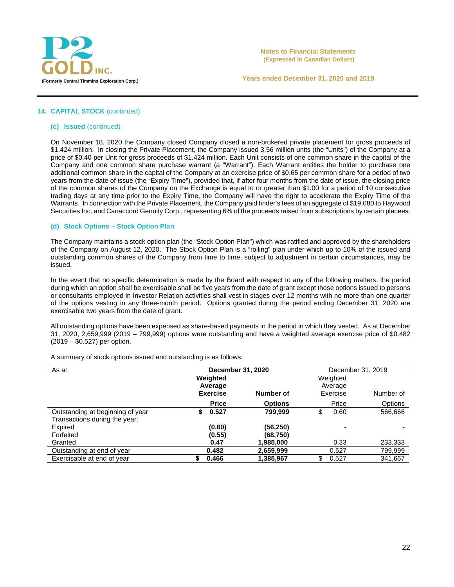

**Years ended December 31, 2020 and 2019**

# **14. CAPITAL STOCK** (continued)

#### **(c) Issued** (continued)

On November 18, 2020 the Company closed Company closed a non-brokered private placement for gross proceeds of \$1.424 million. In closing the Private Placement, the Company issued 3.56 million units (the "Units") of the Company at a price of \$0.40 per Unit for gross proceeds of \$1.424 million. Each Unit consists of one common share in the capital of the Company and one common share purchase warrant (a "Warrant"). Each Warrant entitles the holder to purchase one additional common share in the capital of the Company at an exercise price of \$0.65 per common share for a period of two years from the date of issue (the "Expiry Time"), provided that, if after four months from the date of issue, the closing price of the common shares of the Company on the Exchange is equal to or greater than \$1.00 for a period of 10 consecutive trading days at any time prior to the Expiry Time, the Company will have the right to accelerate the Expiry Time of the Warrants. In connection with the Private Placement, the Company paid finder's fees of an aggregate of \$19,080 to Haywood Securities Inc. and Canaccord Genuity Corp., representing 6% of the proceeds raised from subscriptions by certain placees.

# **(d) Stock Options – Stock Option Plan**

The Company maintains a stock option plan (the "Stock Option Plan") which was ratified and approved by the shareholders of the Company on August 12, 2020. The Stock Option Plan is a "rolling" plan under which up to 10% of the issued and outstanding common shares of the Company from time to time, subject to adjustment in certain circumstances, may be issued.

In the event that no specific determination is made by the Board with respect to any of the following matters, the period during which an option shall be exercisable shall be five years from the date of grant except those options issued to persons or consultants employed in Investor Relation activities shall vest in stages over 12 months with no more than one quarter of the options vesting in any three-month period. Options granted during the period ending December 31, 2020 are exercisable two years from the date of grant.

All outstanding options have been expensed as share-based payments in the period in which they vested. As at December 31, 2020, 2,659,999 (2019 – 799,999) options were outstanding and have a weighted average exercise price of \$0.482 (2019 – \$0.527) per option.

A summary of stock options issued and outstanding is as follows:

| As at                            | December 31, 2020 |                | December 31, 2019        |           |
|----------------------------------|-------------------|----------------|--------------------------|-----------|
|                                  | Weighted          |                | Weighted                 |           |
|                                  | Average           |                | Average                  |           |
|                                  | <b>Exercise</b>   | Number of      | Exercise                 | Number of |
|                                  | <b>Price</b>      | <b>Options</b> | Price                    | Options   |
| Outstanding at beginning of year | 0.527<br>S        | 799.999        | \$<br>0.60               | 566,666   |
| Transactions during the year:    |                   |                |                          |           |
| Expired                          | (0.60)            | (56, 250)      | $\overline{\phantom{0}}$ |           |
| Forfeited                        | (0.55)            | (68, 750)      |                          |           |
| Granted                          | 0.47              | 1,985,000      | 0.33                     | 233,333   |
| Outstanding at end of year       | 0.482             | 2,659,999      | 0.527                    | 799,999   |
| Exercisable at end of year       | 0.466             | 1.385.967      | 0.527                    | 341.667   |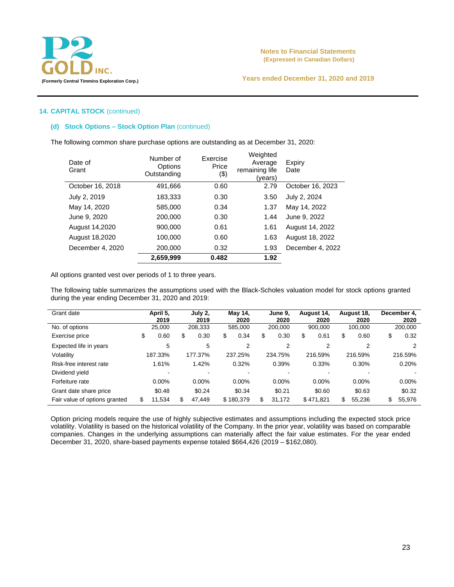

### **14. CAPITAL STOCK** (continued)

# **(d) Stock Options – Stock Option Plan** (continued)

The following common share purchase options are outstanding as at December 31, 2020:

| Date of<br>Grant | Number of<br>Options<br>Outstanding | Exercise<br>Price<br>(\$) | Weighted<br>Average<br>remaining life<br>(years) | Expiry<br>Date   |
|------------------|-------------------------------------|---------------------------|--------------------------------------------------|------------------|
| October 16, 2018 | 491,666                             | 0.60                      | 2.79                                             | October 16, 2023 |
| July 2, 2019     | 183,333                             | 0.30                      | 3.50                                             | July 2, 2024     |
| May 14, 2020     | 585,000                             | 0.34                      | 1.37                                             | May 14, 2022     |
| June 9, 2020     | 200,000                             | 0.30                      | 1.44                                             | June 9, 2022     |
| August 14,2020   | 900,000                             | 0.61                      | 1.61                                             | August 14, 2022  |
| August 18,2020   | 100,000                             | 0.60                      | 1.63                                             | August 18, 2022  |
| December 4, 2020 | 200,000                             | 0.32                      | 1.93                                             | December 4, 2022 |
|                  | 2,659,999                           | 0.482                     | 1.92                                             |                  |
|                  |                                     |                           |                                                  |                  |

All options granted vest over periods of 1 to three years.

The following table summarizes the assumptions used with the Black-Scholes valuation model for stock options granted during the year ending December 31, 2020 and 2019:

| Grant date                    | April 5,<br>2019 |   | July 2.<br>2019 |   | May 14,<br>2020 |   | June 9.<br>2020 | August 14.<br>2020 |    | August 18,<br>2020 | December 4.<br>2020 |
|-------------------------------|------------------|---|-----------------|---|-----------------|---|-----------------|--------------------|----|--------------------|---------------------|
| No. of options                | 25,000           |   | 208,333         |   | 585,000         |   | 200,000         | 900,000            |    | 100,000            | 200,000             |
| Exercise price                | \$<br>0.60       | S | 0.30            | S | 0.34            | S | 0.30            | \$<br>0.61         | \$ | 0.60               | \$<br>0.32          |
| Expected life in years        | 5                |   | 5               |   | 2               |   | 2               | 2                  |    | 2                  |                     |
| Volatility                    | 187.33%          |   | 177.37%         |   | 237.25%         |   | 234.75%         | 216.59%            |    | 216.59%            | 216.59%             |
| Risk-free interest rate       | 1.61%            |   | 1.42%           |   | 0.32%           |   | 0.39%           | 0.33%              |    | 0.30%              | 0.20%               |
| Dividend yield                |                  |   |                 |   |                 |   |                 |                    |    |                    |                     |
| Forfeiture rate               | $0.00\%$         |   | $0.00\%$        |   | $0.00\%$        |   | $0.00\%$        | $0.00\%$           |    | 0.00%              | $0.00\%$            |
| Grant date share price        | \$0.48           |   | \$0.24          |   | \$0.34          |   | \$0.21          | \$0.60             |    | \$0.63             | \$0.32              |
| Fair value of options granted | \$<br>11,534     |   | 47.449          |   | \$180,379       | S | 31,172          | \$471,821          | S  | 55,236             | \$<br>55,976        |

Option pricing models require the use of highly subjective estimates and assumptions including the expected stock price volatility. Volatility is based on the historical volatility of the Company. In the prior year, volatility was based on comparable companies. Changes in the underlying assumptions can materially affect the fair value estimates. For the year ended December 31, 2020, share-based payments expense totaled \$664,426 (2019 – \$162,080).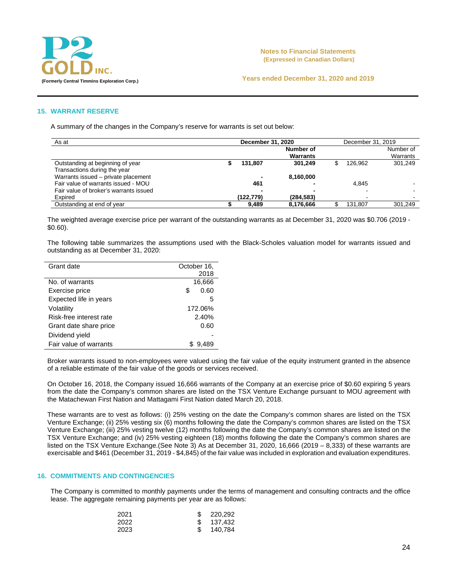

# **15. WARRANT RESERVE**

A summary of the changes in the Company's reserve for warrants is set out below:

| As at                                  | December 31, 2020 |                 |  |         |           |
|----------------------------------------|-------------------|-----------------|--|---------|-----------|
|                                        |                   | Number of       |  |         | Number of |
|                                        |                   | <b>Warrants</b> |  |         | Warrants  |
| Outstanding at beginning of year       | 131.807           | 301.249         |  | 126.962 | 301.249   |
| Transactions during the year           |                   |                 |  |         |           |
| Warrants issued - private placement    |                   | 8,160,000       |  |         |           |
| Fair value of warrants issued - MOU    | 461               |                 |  | 4,845   |           |
| Fair value of broker's warrants issued |                   |                 |  |         |           |
| Expired                                | (122, 779)        | (284, 583)      |  |         |           |
| Outstanding at end of year             | 9,489             | 8,176,666       |  | 131,807 | 301.249   |

The weighted average exercise price per warrant of the outstanding warrants as at December 31, 2020 was \$0.706 (2019 - \$0.60).

The following table summarizes the assumptions used with the Black-Scholes valuation model for warrants issued and outstanding as at December 31, 2020:

| Grant date              | October 16, |
|-------------------------|-------------|
|                         | 2018        |
| No. of warrants         | 16,666      |
| Exercise price          | \$<br>0.60  |
| Expected life in years  | 5           |
| Volatilitv              | 172.06%     |
| Risk-free interest rate | 2.40%       |
| Grant date share price  | 0.60        |
| Dividend yield          |             |
| Fair value of warrants  | 9,489       |

Broker warrants issued to non-employees were valued using the fair value of the equity instrument granted in the absence of a reliable estimate of the fair value of the goods or services received.

On October 16, 2018, the Company issued 16,666 warrants of the Company at an exercise price of \$0.60 expiring 5 years from the date the Company's common shares are listed on the TSX Venture Exchange pursuant to MOU agreement with the Matachewan First Nation and Mattagami First Nation dated March 20, 2018.

These warrants are to vest as follows: (i) 25% vesting on the date the Company's common shares are listed on the TSX Venture Exchange; (ii) 25% vesting six (6) months following the date the Company's common shares are listed on the TSX Venture Exchange; (iii) 25% vesting twelve (12) months following the date the Company's common shares are listed on the TSX Venture Exchange; and (iv) 25% vesting eighteen (18) months following the date the Company's common shares are listed on the TSX Venture Exchange.(See Note 3) As at December 31, 2020, 16,666 (2019 – 8,333) of these warrants are exercisable and \$461 (December 31, 2019 - \$4,845) of the fair value was included in exploration and evaluation expenditures.

# **16. COMMITMENTS AND CONTINGENCIES**

The Company is committed to monthly payments under the terms of management and consulting contracts and the office lease. The aggregate remaining payments per year are as follows:

| 2021 | 220.292 |
|------|---------|
| 2022 | 137.432 |
| 2023 | 140.784 |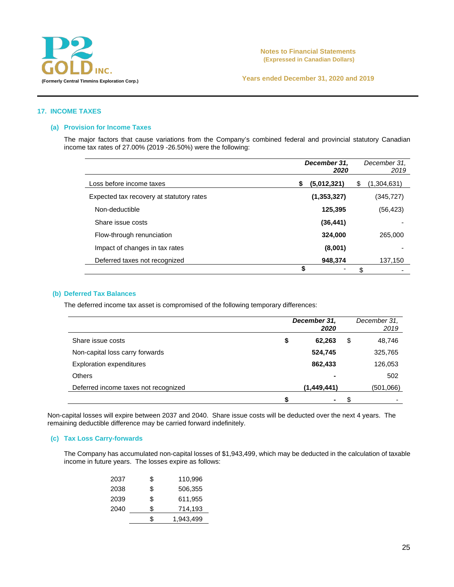

# **17. INCOME TAXES**

# **(a) Provision for Income Taxes**

The major factors that cause variations from the Company's combined federal and provincial statutory Canadian income tax rates of 27.00% (2019 -26.50%) were the following:

|                                          | December 31,<br>2020 |   | December 31,<br>2019 |
|------------------------------------------|----------------------|---|----------------------|
| Loss before income taxes                 | (5,012,321)<br>S     | S | (1,304,631)          |
| Expected tax recovery at statutory rates | (1,353,327)          |   | (345, 727)           |
| Non-deductible                           | 125,395              |   | (56, 423)            |
| Share issue costs                        | (36, 441)            |   |                      |
| Flow-through renunciation                | 324,000              |   | 265,000              |
| Impact of changes in tax rates           | (8,001)              |   |                      |
| Deferred taxes not recognized            | 948,374              |   | 137,150              |
|                                          | \$                   |   |                      |

# **(b) Deferred Tax Balances**

The deferred income tax asset is compromised of the following temporary differences:

|                                      |    | December 31,<br>2020 | December 31,<br>2019 |
|--------------------------------------|----|----------------------|----------------------|
| Share issue costs                    | \$ | 62,263               | \$<br>48,746         |
| Non-capital loss carry forwards      |    | 524,745              | 325,765              |
| <b>Exploration expenditures</b>      |    | 862,433              | 126,053              |
| <b>Others</b>                        |    | $\blacksquare$       | 502                  |
| Deferred income taxes not recognized |    | (1,449,441)          | (501,066)            |
|                                      | S  | ۰                    |                      |

Non-capital losses will expire between 2037 and 2040. Share issue costs will be deducted over the next 4 years. The remaining deductible difference may be carried forward indefinitely.

### **(c) Tax Loss Carry-forwards**

The Company has accumulated non-capital losses of \$1,943,499, which may be deducted in the calculation of taxable income in future years. The losses expire as follows:

| 2037 | \$<br>110,996   |
|------|-----------------|
| 2038 | \$<br>506,355   |
| 2039 | \$<br>611,955   |
| 2040 | \$<br>714,193   |
|      | \$<br>1,943,499 |